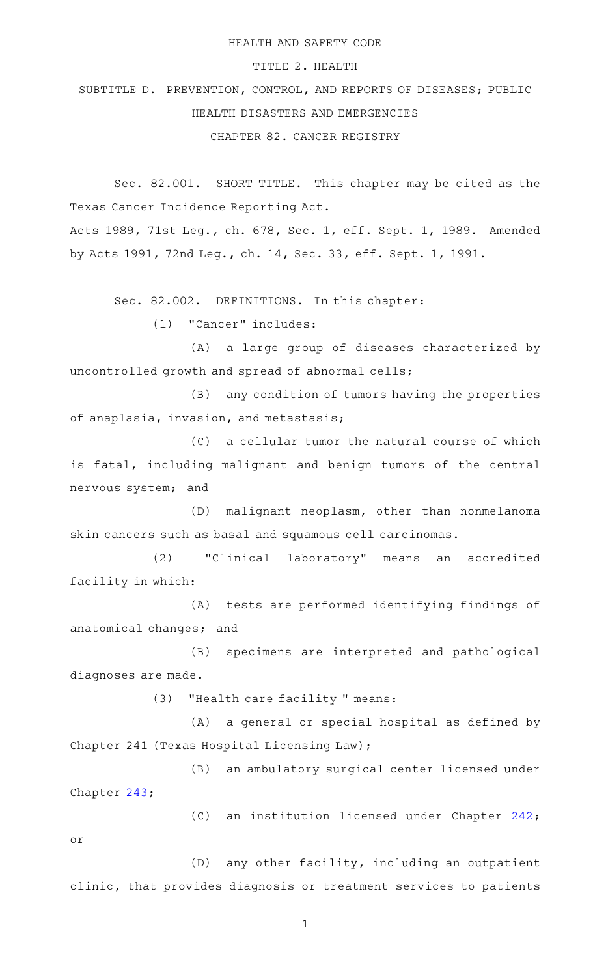## HEALTH AND SAFETY CODE

## TITLE 2. HEALTH

SUBTITLE D. PREVENTION, CONTROL, AND REPORTS OF DISEASES; PUBLIC HEALTH DISASTERS AND EMERGENCIES CHAPTER 82. CANCER REGISTRY

Sec. 82.001. SHORT TITLE. This chapter may be cited as the Texas Cancer Incidence Reporting Act.

Acts 1989, 71st Leg., ch. 678, Sec. 1, eff. Sept. 1, 1989. Amended by Acts 1991, 72nd Leg., ch. 14, Sec. 33, eff. Sept. 1, 1991.

Sec. 82.002. DEFINITIONS. In this chapter:

(1) "Cancer" includes:

(A) a large group of diseases characterized by uncontrolled growth and spread of abnormal cells;

(B) any condition of tumors having the properties of anaplasia, invasion, and metastasis;

(C) a cellular tumor the natural course of which is fatal, including malignant and benign tumors of the central nervous system; and

(D) malignant neoplasm, other than nonmelanoma skin cancers such as basal and squamous cell carcinomas.

(2) "Clinical laboratory" means an accredited facility in which:

(A) tests are performed identifying findings of anatomical changes; and

(B) specimens are interpreted and pathological diagnoses are made.

(3) "Health care facility " means:

(A) a general or special hospital as defined by Chapter 241 (Texas Hospital Licensing Law);

(B) an ambulatory surgical center licensed under Chapter [243;](http://www.statutes.legis.state.tx.us/GetStatute.aspx?Code=HS&Value=243)

(C) an institution licensed under Chapter [242](http://www.statutes.legis.state.tx.us/GetStatute.aspx?Code=HS&Value=242); or

(D) any other facility, including an outpatient clinic, that provides diagnosis or treatment services to patients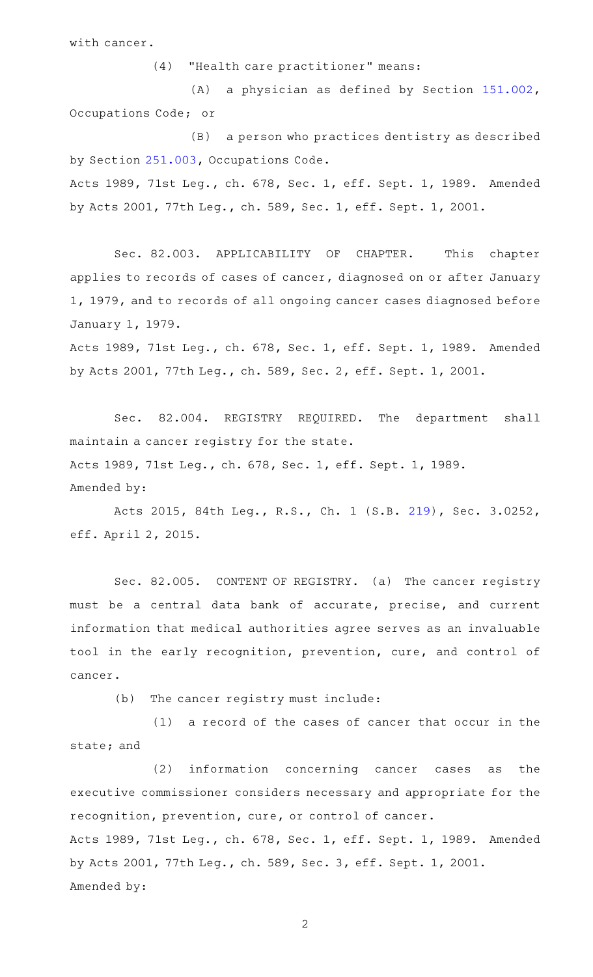with cancer.

(4) "Health care practitioner" means:

(A) a physician as defined by Section  $151.002$ , Occupations Code; or

(B) a person who practices dentistry as described by Section [251.003,](http://www.statutes.legis.state.tx.us/GetStatute.aspx?Code=OC&Value=251.003) Occupations Code. Acts 1989, 71st Leg., ch. 678, Sec. 1, eff. Sept. 1, 1989. Amended by Acts 2001, 77th Leg., ch. 589, Sec. 1, eff. Sept. 1, 2001.

Sec. 82.003. APPLICABILITY OF CHAPTER. This chapter applies to records of cases of cancer, diagnosed on or after January 1, 1979, and to records of all ongoing cancer cases diagnosed before January 1, 1979.

Acts 1989, 71st Leg., ch. 678, Sec. 1, eff. Sept. 1, 1989. Amended by Acts 2001, 77th Leg., ch. 589, Sec. 2, eff. Sept. 1, 2001.

Sec. 82.004. REGISTRY REQUIRED. The department shall maintain a cancer registry for the state. Acts 1989, 71st Leg., ch. 678, Sec. 1, eff. Sept. 1, 1989. Amended by:

Acts 2015, 84th Leg., R.S., Ch. 1 (S.B. [219](http://www.legis.state.tx.us/tlodocs/84R/billtext/html/SB00219F.HTM)), Sec. 3.0252, eff. April 2, 2015.

Sec. 82.005. CONTENT OF REGISTRY. (a) The cancer registry must be a central data bank of accurate, precise, and current information that medical authorities agree serves as an invaluable tool in the early recognition, prevention, cure, and control of cancer.

(b) The cancer registry must include:

 $(1)$  a record of the cases of cancer that occur in the state; and

(2) information concerning cancer cases as the executive commissioner considers necessary and appropriate for the recognition, prevention, cure, or control of cancer. Acts 1989, 71st Leg., ch. 678, Sec. 1, eff. Sept. 1, 1989. Amended by Acts 2001, 77th Leg., ch. 589, Sec. 3, eff. Sept. 1, 2001. Amended by: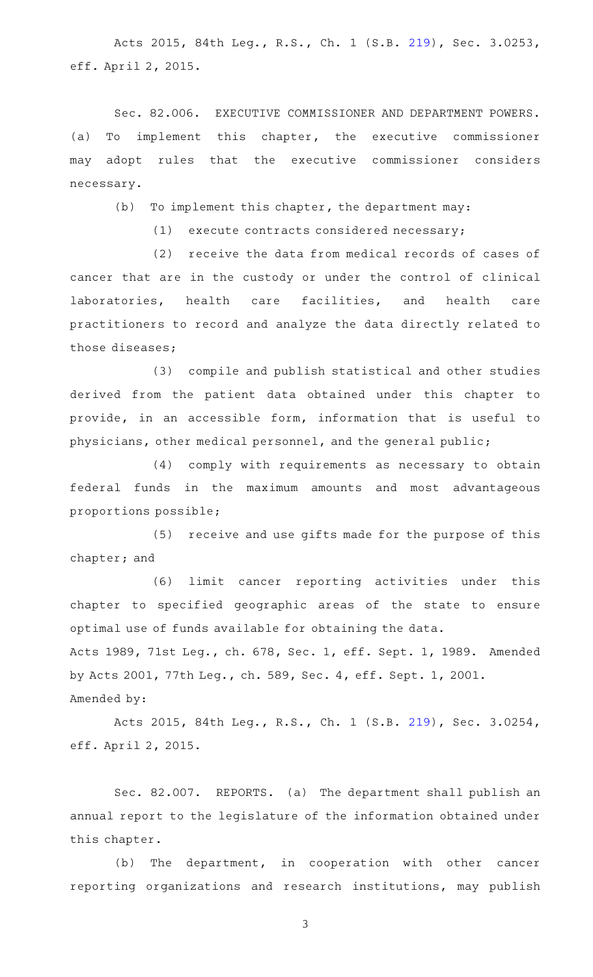Acts 2015, 84th Leg., R.S., Ch. 1 (S.B. [219](http://www.legis.state.tx.us/tlodocs/84R/billtext/html/SB00219F.HTM)), Sec. 3.0253, eff. April 2, 2015.

Sec. 82.006. EXECUTIVE COMMISSIONER AND DEPARTMENT POWERS. (a) To implement this chapter, the executive commissioner may adopt rules that the executive commissioner considers necessary.

 $(b)$  To implement this chapter, the department may:

 $(1)$  execute contracts considered necessary;

(2) receive the data from medical records of cases of cancer that are in the custody or under the control of clinical laboratories, health care facilities, and health care practitioners to record and analyze the data directly related to those diseases;

(3) compile and publish statistical and other studies derived from the patient data obtained under this chapter to provide, in an accessible form, information that is useful to physicians, other medical personnel, and the general public;

(4) comply with requirements as necessary to obtain federal funds in the maximum amounts and most advantageous proportions possible;

(5) receive and use gifts made for the purpose of this chapter; and

(6) limit cancer reporting activities under this chapter to specified geographic areas of the state to ensure optimal use of funds available for obtaining the data. Acts 1989, 71st Leg., ch. 678, Sec. 1, eff. Sept. 1, 1989. Amended by Acts 2001, 77th Leg., ch. 589, Sec. 4, eff. Sept. 1, 2001. Amended by:

Acts 2015, 84th Leg., R.S., Ch. 1 (S.B. [219](http://www.legis.state.tx.us/tlodocs/84R/billtext/html/SB00219F.HTM)), Sec. 3.0254, eff. April 2, 2015.

Sec. 82.007. REPORTS. (a) The department shall publish an annual report to the legislature of the information obtained under this chapter.

(b) The department, in cooperation with other cancer reporting organizations and research institutions, may publish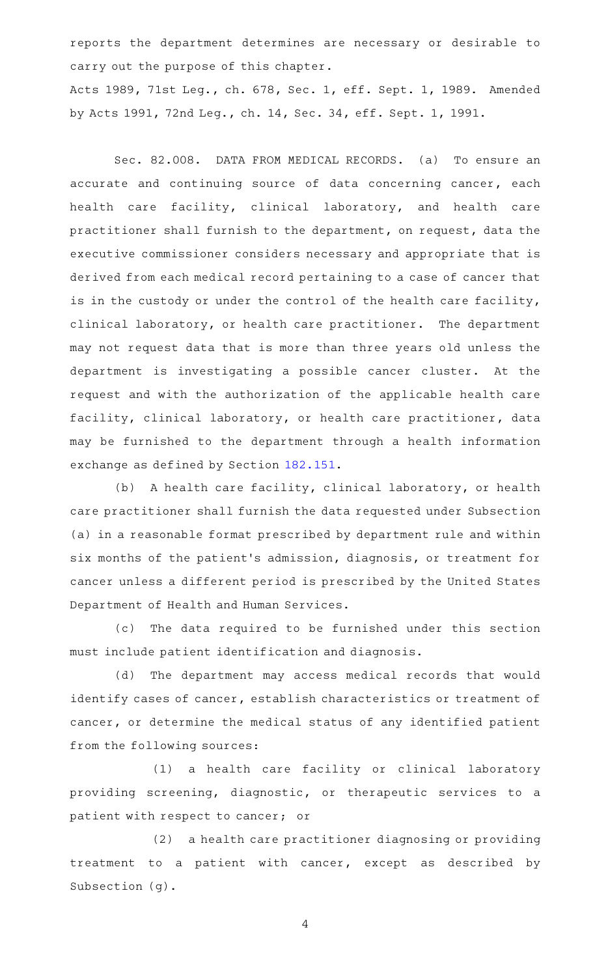reports the department determines are necessary or desirable to carry out the purpose of this chapter.

Acts 1989, 71st Leg., ch. 678, Sec. 1, eff. Sept. 1, 1989. Amended by Acts 1991, 72nd Leg., ch. 14, Sec. 34, eff. Sept. 1, 1991.

Sec. 82.008. DATA FROM MEDICAL RECORDS. (a) To ensure an accurate and continuing source of data concerning cancer, each health care facility, clinical laboratory, and health care practitioner shall furnish to the department, on request, data the executive commissioner considers necessary and appropriate that is derived from each medical record pertaining to a case of cancer that is in the custody or under the control of the health care facility, clinical laboratory, or health care practitioner. The department may not request data that is more than three years old unless the department is investigating a possible cancer cluster. At the request and with the authorization of the applicable health care facility, clinical laboratory, or health care practitioner, data may be furnished to the department through a health information exchange as defined by Section [182.151](http://www.statutes.legis.state.tx.us/GetStatute.aspx?Code=HS&Value=182.151).

(b) A health care facility, clinical laboratory, or health care practitioner shall furnish the data requested under Subsection (a) in a reasonable format prescribed by department rule and within six months of the patient 's admission, diagnosis, or treatment for cancer unless a different period is prescribed by the United States Department of Health and Human Services.

(c) The data required to be furnished under this section must include patient identification and diagnosis.

(d) The department may access medical records that would identify cases of cancer, establish characteristics or treatment of cancer, or determine the medical status of any identified patient from the following sources:

(1) a health care facility or clinical laboratory providing screening, diagnostic, or therapeutic services to a patient with respect to cancer; or

(2) a health care practitioner diagnosing or providing treatment to a patient with cancer, except as described by Subsection (g).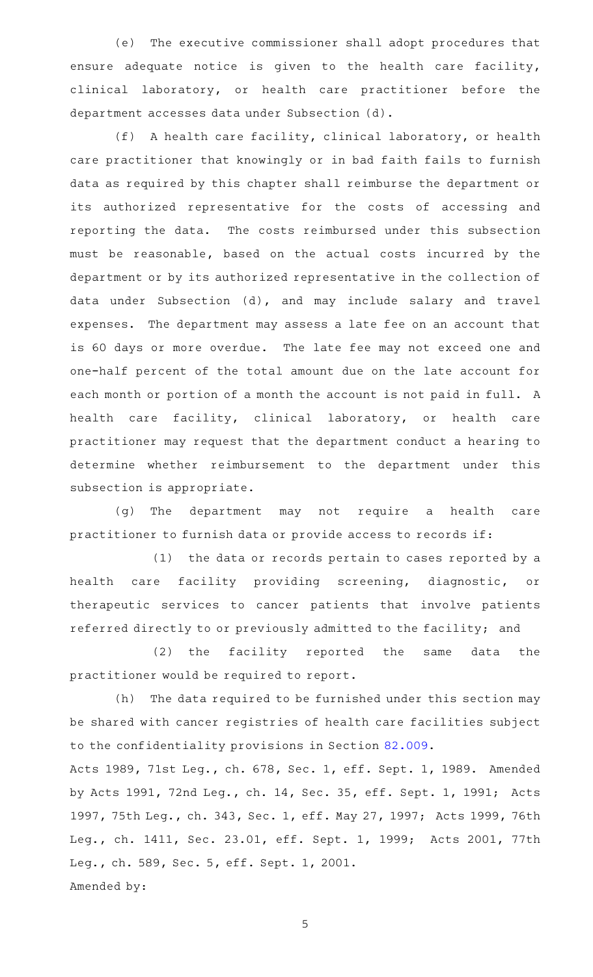(e) The executive commissioner shall adopt procedures that ensure adequate notice is given to the health care facility, clinical laboratory, or health care practitioner before the department accesses data under Subsection (d).

(f) A health care facility, clinical laboratory, or health care practitioner that knowingly or in bad faith fails to furnish data as required by this chapter shall reimburse the department or its authorized representative for the costs of accessing and reporting the data. The costs reimbursed under this subsection must be reasonable, based on the actual costs incurred by the department or by its authorized representative in the collection of data under Subsection (d), and may include salary and travel expenses. The department may assess a late fee on an account that is 60 days or more overdue. The late fee may not exceed one and one-half percent of the total amount due on the late account for each month or portion of a month the account is not paid in full. A health care facility, clinical laboratory, or health care practitioner may request that the department conduct a hearing to determine whether reimbursement to the department under this subsection is appropriate.

(g) The department may not require a health care practitioner to furnish data or provide access to records if:

 $(1)$  the data or records pertain to cases reported by a health care facility providing screening, diagnostic, or therapeutic services to cancer patients that involve patients referred directly to or previously admitted to the facility; and

(2) the facility reported the same data the practitioner would be required to report.

(h) The data required to be furnished under this section may be shared with cancer registries of health care facilities subject to the confidentiality provisions in Section [82.009.](http://www.statutes.legis.state.tx.us/GetStatute.aspx?Code=HS&Value=82.009)

Acts 1989, 71st Leg., ch. 678, Sec. 1, eff. Sept. 1, 1989. Amended by Acts 1991, 72nd Leg., ch. 14, Sec. 35, eff. Sept. 1, 1991; Acts 1997, 75th Leg., ch. 343, Sec. 1, eff. May 27, 1997; Acts 1999, 76th Leg., ch. 1411, Sec. 23.01, eff. Sept. 1, 1999; Acts 2001, 77th Leg., ch. 589, Sec. 5, eff. Sept. 1, 2001. Amended by: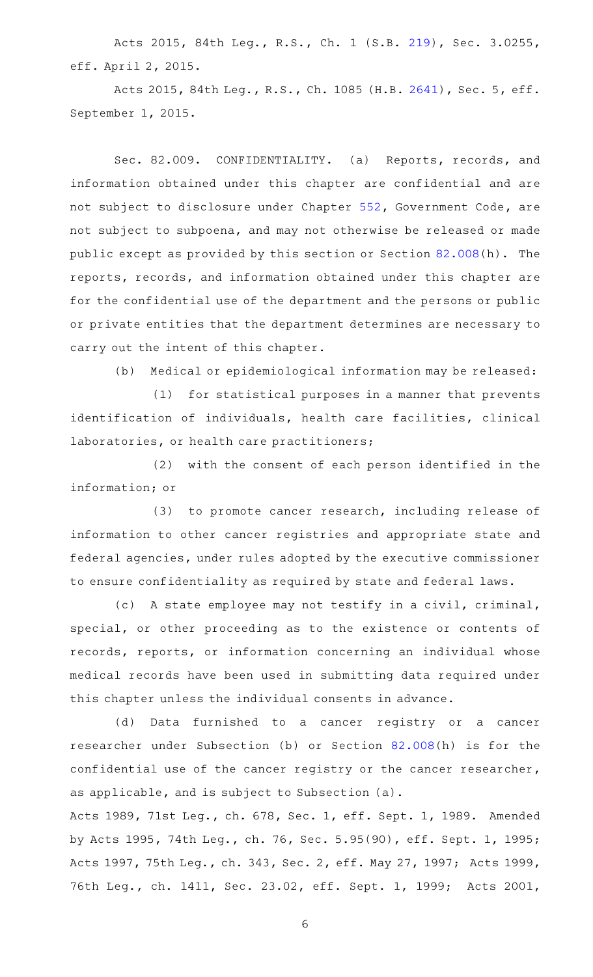Acts 2015, 84th Leg., R.S., Ch. 1 (S.B. [219](http://www.legis.state.tx.us/tlodocs/84R/billtext/html/SB00219F.HTM)), Sec. 3.0255, eff. April 2, 2015.

Acts 2015, 84th Leg., R.S., Ch. 1085 (H.B. [2641](http://www.legis.state.tx.us/tlodocs/84R/billtext/html/HB02641F.HTM)), Sec. 5, eff. September 1, 2015.

Sec. 82.009. CONFIDENTIALITY. (a) Reports, records, and information obtained under this chapter are confidential and are not subject to disclosure under Chapter [552](http://www.statutes.legis.state.tx.us/GetStatute.aspx?Code=GV&Value=552), Government Code, are not subject to subpoena, and may not otherwise be released or made public except as provided by this section or Section [82.008](http://www.statutes.legis.state.tx.us/GetStatute.aspx?Code=HS&Value=82.008)(h). The reports, records, and information obtained under this chapter are for the confidential use of the department and the persons or public or private entities that the department determines are necessary to carry out the intent of this chapter.

(b) Medical or epidemiological information may be released:

(1) for statistical purposes in a manner that prevents identification of individuals, health care facilities, clinical laboratories, or health care practitioners;

(2) with the consent of each person identified in the information; or

(3) to promote cancer research, including release of information to other cancer registries and appropriate state and federal agencies, under rules adopted by the executive commissioner to ensure confidentiality as required by state and federal laws.

(c) A state employee may not testify in a civil, criminal, special, or other proceeding as to the existence or contents of records, reports, or information concerning an individual whose medical records have been used in submitting data required under this chapter unless the individual consents in advance.

(d) Data furnished to a cancer registry or a cancer researcher under Subsection (b) or Section [82.008\(](http://www.statutes.legis.state.tx.us/GetStatute.aspx?Code=HS&Value=82.008)h) is for the confidential use of the cancer registry or the cancer researcher, as applicable, and is subject to Subsection (a).

Acts 1989, 71st Leg., ch. 678, Sec. 1, eff. Sept. 1, 1989. Amended by Acts 1995, 74th Leg., ch. 76, Sec. 5.95(90), eff. Sept. 1, 1995; Acts 1997, 75th Leg., ch. 343, Sec. 2, eff. May 27, 1997; Acts 1999, 76th Leg., ch. 1411, Sec. 23.02, eff. Sept. 1, 1999; Acts 2001,